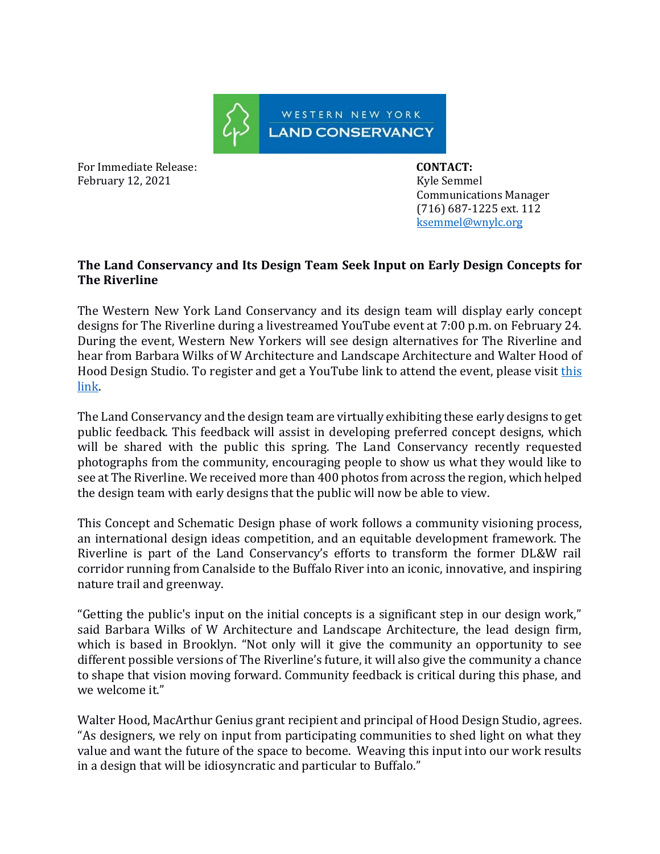

For Immediate Release: **CONTACT: CONTACT:** February 12, 2021 **Kyle Semmel** 

 Communications Manager (716) 687-1225 ext. 112 [ksemmel@wnylc.org](mailto:ksemmel@wnylc.org)

## **The Land Conservancy and Its Design Team Seek Input on Early Design Concepts for The Riverline**

The Western New York Land Conservancy and its design team will display early concept designs for The Riverline during a livestreamed YouTube event at 7:00 p.m. on February 24. During the event, Western New Yorkers will see design alternatives for The Riverline and hear from Barbara Wilks of W Architecture and Landscape Architecture and Walter Hood of Hood Design Studio. To register and get a YouTube link to attend the event, please visit this [link.](https://www.wnylc.org/event-details/design-the-riverline-1)

The Land Conservancy and the design team are virtually exhibiting these early designs to get public feedback. This feedback will assist in developing preferred concept designs, which will be shared with the public this spring. The Land Conservancy recently requested photographs from the community, encouraging people to show us what they would like to see at The Riverline. We received more than 400 photos from across the region, which helped the design team with early designs that the public will now be able to view.

This Concept and Schematic Design phase of work follows a community visioning process, an international design ideas competition, and an equitable development framework. The Riverline is part of the Land Conservancy's efforts to transform the former DL&W rail corridor running from Canalside to the Buffalo River into an iconic, innovative, and inspiring nature trail and greenway.

"Getting the public's input on the initial concepts is a significant step in our design work," said Barbara Wilks of W Architecture and Landscape Architecture, the lead design firm, which is based in Brooklyn. "Not only will it give the community an opportunity to see different possible versions of The Riverline's future, it will also give the community a chance to shape that vision moving forward. Community feedback is critical during this phase, and we welcome it."

Walter Hood, MacArthur Genius grant recipient and principal of Hood Design Studio, agrees. "As designers, we rely on input from participating communities to shed light on what they value and want the future of the space to become. Weaving this input into our work results in a design that will be idiosyncratic and particular to Buffalo."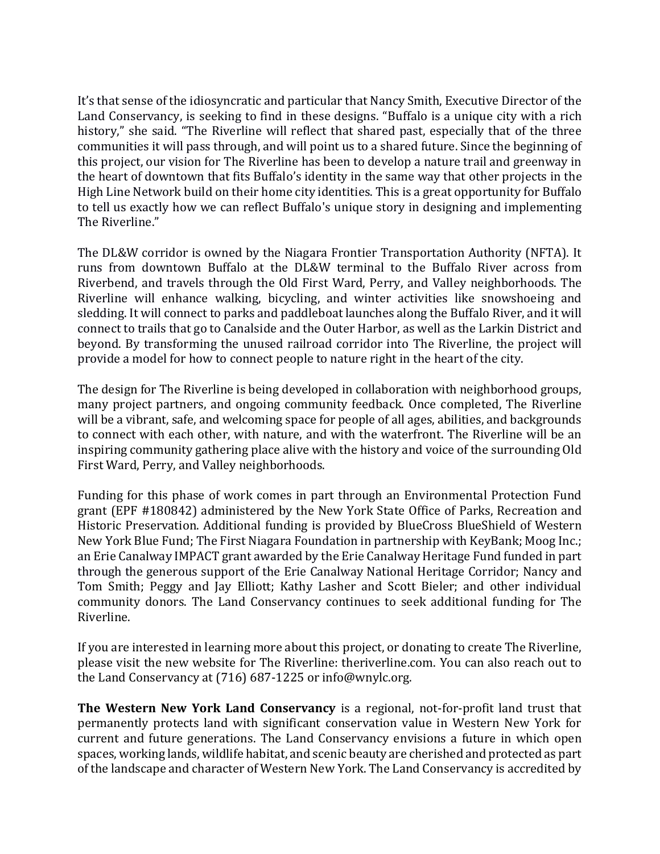It's that sense of the idiosyncratic and particular that Nancy Smith, Executive Director of the Land Conservancy, is seeking to find in these designs. "Buffalo is a unique city with a rich history," she said. "The Riverline will reflect that shared past, especially that of the three communities it will pass through, and will point us to a shared future. Since the beginning of this project, our vision for The Riverline has been to develop a nature trail and greenway in the heart of downtown that fits Buffalo's identity in the same way that other projects in the High Line Network build on their home city identities. This is a great opportunity for Buffalo to tell us exactly how we can reflect Buffalo's unique story in designing and implementing The Riverline."

The DL&W corridor is owned by the Niagara Frontier Transportation Authority (NFTA). It runs from downtown Buffalo at the DL&W terminal to the Buffalo River across from Riverbend, and travels through the Old First Ward, Perry, and Valley neighborhoods. The Riverline will enhance walking, bicycling, and winter activities like snowshoeing and sledding. It will connect to parks and paddleboat launches along the Buffalo River, and it will connect to trails that go to Canalside and the Outer Harbor, as well as the Larkin District and beyond. By transforming the unused railroad corridor into The Riverline, the project will provide a model for how to connect people to nature right in the heart of the city.

The design for The Riverline is being developed in collaboration with neighborhood groups, many project partners, and ongoing community feedback. Once completed, The Riverline will be a vibrant, safe, and welcoming space for people of all ages, abilities, and backgrounds to connect with each other, with nature, and with the waterfront. The Riverline will be an inspiring community gathering place alive with the history and voice of the surrounding Old First Ward, Perry, and Valley neighborhoods.

Funding for this phase of work comes in part through an Environmental Protection Fund grant (EPF #180842) administered by the New York State Office of Parks, Recreation and Historic Preservation. Additional funding is provided by BlueCross BlueShield of Western New York Blue Fund; The First Niagara Foundation in partnership with KeyBank; Moog Inc.; an Erie Canalway IMPACT grant awarded by the Erie Canalway Heritage Fund funded in part through the generous support of the Erie Canalway National Heritage Corridor; Nancy and Tom Smith; Peggy and Jay Elliott; Kathy Lasher and Scott Bieler; and other individual community donors. The Land Conservancy continues to seek additional funding for The Riverline.

If you are interested in learning more about this project, or donating to create The Riverline, please visit the new website for The Riverline: theriverline.com. You can also reach out to the Land Conservancy at (716) 687-1225 or info@wnylc.org.

**The Western New York Land Conservancy** is a regional, not-for-profit land trust that permanently protects land with significant conservation value in Western New York for current and future generations. The Land Conservancy envisions a future in which open spaces, working lands, wildlife habitat, and scenic beauty are cherished and protected as part of the landscape and character of Western New York. The Land Conservancy is accredited by